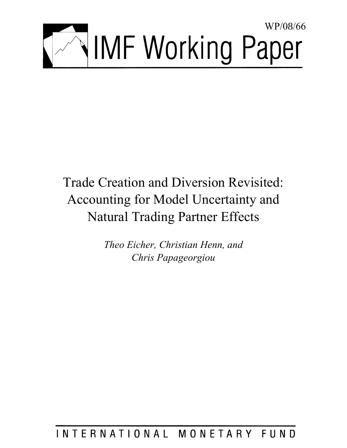

# Trade Creation and Diversion Revisited: Accounting for Model Uncertainty and Natural Trading Partner Effects

*Theo Eicher, Christian Henn, and Chris Papageorgiou* 

## INTERNATIONAL MONETARY FUND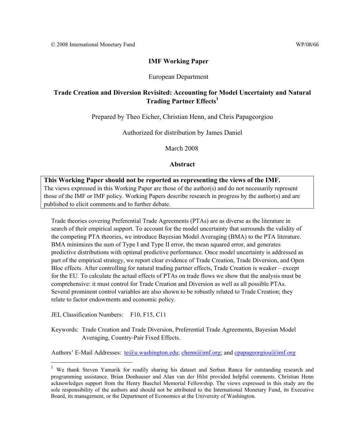#### **IMF Working Paper**

#### European Department

## **Trade Creation and Diversion Revisited: Accounting for Model Uncertainty and Natural Trading Partner Effects1**

Prepared by Theo Eicher, Christian Henn, and Chris Papageorgiou

Authorized for distribution by James Daniel

March 2008

#### **Abstract**

## **This Working Paper should not be reported as representing the views of the IMF.**

The views expressed in this Working Paper are those of the author(s) and do not necessarily represent those of the IMF or IMF policy. Working Papers describe research in progress by the author(s) and are published to elicit comments and to further debate.

Trade theories covering Preferential Trade Agreements (PTAs) are as diverse as the literature in search of their empirical support. To account for the model uncertainty that surrounds the validity of the competing PTA theories, we introduce Bayesian Model Averaging (BMA) to the PTA literature. BMA minimizes the sum of Type I and Type II error, the mean squared error, and generates predictive distributions with optimal predictive performance. Once model uncertainty is addressed as part of the empirical strategy, we report clear evidence of Trade Creation, Trade Diversion, and Open Bloc effects. After controlling for natural trading partner effects, Trade Creation is weaker – except for the EU. To calculate the actual effects of PTAs on trade flows we show that the analysis must be comprehensive: it must control for Trade Creation and Diversion as well as all possible PTAs. Several prominent control variables are also shown to be robustly related to Trade Creation; they relate to factor endowments and economic policy.

JEL Classification Numbers: F10, F15, C11

 $\overline{a}$ 

Keywords: Trade Creation and Trade Diversion, Preferential Trade Agreements, Bayesian Model Averaging, Country-Pair Fixed Effects.

Authors' E-Mail Addresses:  $te@u.washington.edu$ ; chenn $@imf.org$ ; and cpapageorgiou $@imf.org$ 

<sup>&</sup>lt;sup>1</sup> We thank Steven Yamarik for readily sharing his dataset and Serban Ranca for outstanding research and programming assistance. Brian Donhauser and Alan van der Hilst provided helpful comments. Christian Henn acknowledges support from the Henry Buechel Memorial Fellowship. The views expressed in this study are the sole responsibility of the authors and should not be attributed to the International Monetary Fund, its Executive Board, its management, or the Department of Economics at the University of Washington.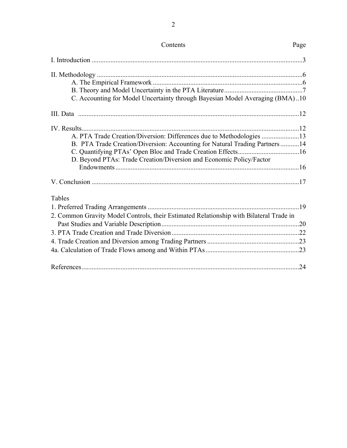| C. Accounting for Model Uncertainty through Bayesian Model Averaging (BMA)10           |  |
|----------------------------------------------------------------------------------------|--|
|                                                                                        |  |
|                                                                                        |  |
| A. PTA Trade Creation/Diversion: Differences due to Methodologies 13                   |  |
| B. PTA Trade Creation/Diversion: Accounting for Natural Trading Partners 14            |  |
|                                                                                        |  |
| D. Beyond PTAs: Trade Creation/Diversion and Economic Policy/Factor                    |  |
|                                                                                        |  |
|                                                                                        |  |
| <b>Tables</b>                                                                          |  |
|                                                                                        |  |
| 2. Common Gravity Model Controls, their Estimated Relationship with Bilateral Trade in |  |
|                                                                                        |  |
|                                                                                        |  |
|                                                                                        |  |
|                                                                                        |  |
|                                                                                        |  |
|                                                                                        |  |

## Contents Page

2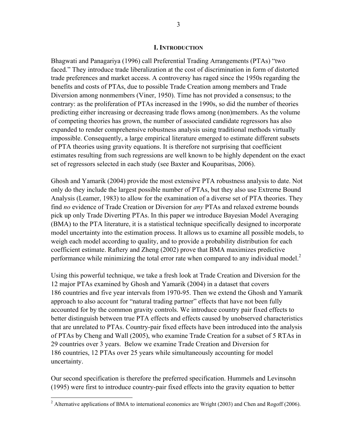#### **I. INTRODUCTION**

Bhagwati and Panagariya (1996) call Preferential Trading Arrangements (PTAs) "two faced." They introduce trade liberalization at the cost of discrimination in form of distorted trade preferences and market access. A controversy has raged since the 1950s regarding the benefits and costs of PTAs, due to possible Trade Creation among members and Trade Diversion among nonmembers (Viner, 1950). Time has not provided a consensus; to the contrary: as the proliferation of PTAs increased in the 1990s, so did the number of theories predicting either increasing or decreasing trade flows among (non)members. As the volume of competing theories has grown, the number of associated candidate regressors has also expanded to render comprehensive robustness analysis using traditional methods virtually impossible. Consequently, a large empirical literature emerged to estimate different subsets of PTA theories using gravity equations. It is therefore not surprising that coefficient estimates resulting from such regressions are well known to be highly dependent on the exact set of regressors selected in each study (see Baxter and Kouparitsas, 2006).

Ghosh and Yamarik (2004) provide the most extensive PTA robustness analysis to date. Not only do they include the largest possible number of PTAs, but they also use Extreme Bound Analysis (Leamer, 1983) to allow for the examination of a diverse set of PTA theories. They find *no* evidence of Trade Creation or Diversion for *any* PTAs and relaxed extreme bounds pick up only Trade Diverting PTAs. In this paper we introduce Bayesian Model Averaging (BMA) to the PTA literature, it is a statistical technique specifically designed to incorporate model uncertainty into the estimation process. It allows us to examine all possible models, to weigh each model according to quality, and to provide a probability distribution for each coefficient estimate. Raftery and Zheng (2002) prove that BMA maximizes predictive performance while minimizing the total error rate when compared to any individual model.<sup>2</sup>

Using this powerful technique, we take a fresh look at Trade Creation and Diversion for the 12 major PTAs examined by Ghosh and Yamarik (2004) in a dataset that covers 186 countries and five year intervals from 1970-95. Then we extend the Ghosh and Yamarik approach to also account for "natural trading partner" effects that have not been fully accounted for by the common gravity controls. We introduce country pair fixed effects to better distinguish between true PTA effects and effects caused by unobserved characteristics that are unrelated to PTAs. Country-pair fixed effects have been introduced into the analysis of PTAs by Cheng and Wall (2005), who examine Trade Creation for a subset of 5 RTAs in 29 countries over 3 years. Below we examine Trade Creation and Diversion for 186 countries, 12 PTAs over 25 years while simultaneously accounting for model uncertainty.

Our second specification is therefore the preferred specification. Hummels and Levinsohn (1995) were first to introduce country-pair fixed effects into the gravity equation to better

<u>.</u>

<sup>&</sup>lt;sup>2</sup> Alternative applications of BMA to international economics are Wright (2003) and Chen and Rogoff (2006).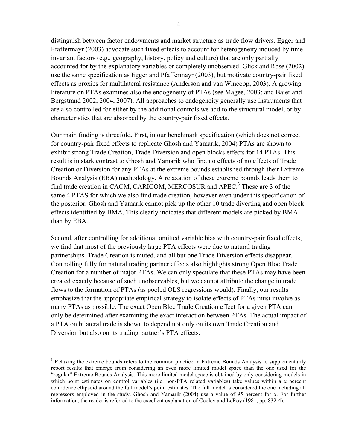distinguish between factor endowments and market structure as trade flow drivers. Egger and Pfaffermayr (2003) advocate such fixed effects to account for heterogeneity induced by timeinvariant factors (e.g., geography, history, policy and culture) that are only partially accounted for by the explanatory variables or completely unobserved. Glick and Rose (2002) use the same specification as Egger and Pfaffermayr (2003), but motivate country-pair fixed effects as proxies for multilateral resistance (Anderson and van Wincoop, 2003). A growing literature on PTAs examines also the endogeneity of PTAs (see Magee, 2003; and Baier and Bergstrand 2002, 2004, 2007). All approaches to endogeneity generally use instruments that are also controlled for either by the additional controls we add to the structural model, or by characteristics that are absorbed by the country-pair fixed effects.

Our main finding is threefold. First, in our benchmark specification (which does not correct for country-pair fixed effects to replicate Ghosh and Yamarik, 2004) PTAs are shown to exhibit strong Trade Creation, Trade Diversion and open blocks effects for 14 PTAs. This result is in stark contrast to Ghosh and Yamarik who find no effects of no effects of Trade Creation or Diversion for any PTAs at the extreme bounds established through their Extreme Bounds Analysis (EBA) methodology. A relaxation of these extreme bounds leads them to find trade creation in CACM, CARICOM, MERCOSUR and APEC.<sup>3</sup> These are 3 of the same 4 PTAS for which we also find trade creation, however even under this specification of the posterior, Ghosh and Yamarik cannot pick up the other 10 trade diverting and open block effects identified by BMA. This clearly indicates that different models are picked by BMA than by EBA.

Second, after controlling for additional omitted variable bias with country-pair fixed effects, we find that most of the previously large PTA effects were due to natural trading partnerships. Trade Creation is muted, and all but one Trade Diversion effects disappear. Controlling fully for natural trading partner effects also highlights strong Open Bloc Trade Creation for a number of major PTAs. We can only speculate that these PTAs may have been created exactly because of such unobservables, but we cannot attribute the change in trade flows to the formation of PTAs (as pooled OLS regressions would). Finally, our results emphasize that the appropriate empirical strategy to isolate effects of PTAs must involve as many PTAs as possible. The exact Open Bloc Trade Creation effect for a given PTA can only be determined after examining the exact interaction between PTAs. The actual impact of a PTA on bilateral trade is shown to depend not only on its own Trade Creation and Diversion but also on its trading partner's PTA effects.

 $\overline{a}$ 

<sup>&</sup>lt;sup>3</sup> Relaxing the extreme bounds refers to the common practice in Extreme Bounds Analysis to supplementarily report results that emerge from considering an even more limited model space than the one used for the "regular" Extreme Bounds Analysis. This more limited model space is obtained by only considering models in which point estimates on control variables (i.e. non-PTA related variables) take values within a  $\alpha$  percent confidence ellipsoid around the full model's point estimates. The full model is considered the one including all regressors employed in the study. Ghosh and Yamarik (2004) use a value of 95 percent for α. For further information, the reader is referred to the excellent explanation of Cooley and LeRoy (1981, pp. 832-4).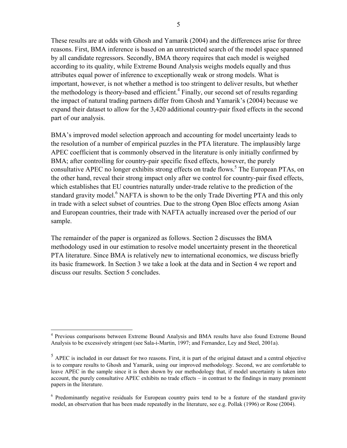These results are at odds with Ghosh and Yamarik (2004) and the differences arise for three reasons. First, BMA inference is based on an unrestricted search of the model space spanned by all candidate regressors. Secondly, BMA theory requires that each model is weighed according to its quality, while Extreme Bound Analysis weighs models equally and thus attributes equal power of inference to exceptionally weak or strong models. What is important, however, is not whether a method is too stringent to deliver results, but whether the methodology is theory-based and efficient.<sup>4</sup> Finally, our second set of results regarding the impact of natural trading partners differ from Ghosh and Yamarik's (2004) because we expand their dataset to allow for the 3,420 additional country-pair fixed effects in the second part of our analysis.

BMA's improved model selection approach and accounting for model uncertainty leads to the resolution of a number of empirical puzzles in the PTA literature. The implausibly large APEC coefficient that is commonly observed in the literature is only initially confirmed by BMA; after controlling for country-pair specific fixed effects, however, the purely consultative APEC no longer exhibits strong effects on trade flows.<sup>5</sup> The European PTAs, on the other hand, reveal their strong impact only after we control for country-pair fixed effects, which establishes that EU countries naturally under-trade relative to the prediction of the standard gravity model.<sup>6</sup> NAFTA is shown to be the only Trade Diverting PTA and this only in trade with a select subset of countries. Due to the strong Open Bloc effects among Asian and European countries, their trade with NAFTA actually increased over the period of our sample.

The remainder of the paper is organized as follows. Section 2 discusses the BMA methodology used in our estimation to resolve model uncertainty present in the theoretical PTA literature. Since BMA is relatively new to international economics, we discuss briefly its basic framework. In Section 3 we take a look at the data and in Section 4 we report and discuss our results. Section 5 concludes.

 4 Previous comparisons between Extreme Bound Analysis and BMA results have also found Extreme Bound Analysis to be excessively stringent (see Sala-i-Martin, 1997; and Fernandez, Ley and Steel, 2001a).

 $<sup>5</sup>$  APEC is included in our dataset for two reasons. First, it is part of the original dataset and a central objective</sup> is to compare results to Ghosh and Yamarik, using our improved methodology. Second, we are comfortable to leave APEC in the sample since it is then shown by our methodology that, if model uncertainty is taken into account, the purely consultative APEC exhibits no trade effects – in contrast to the findings in many prominent papers in the literature.

<sup>&</sup>lt;sup>6</sup> Predominantly negative residuals for European country pairs tend to be a feature of the standard gravity model, an observation that has been made repeatedly in the literature, see e.g. Pollak (1996) or Rose (2004).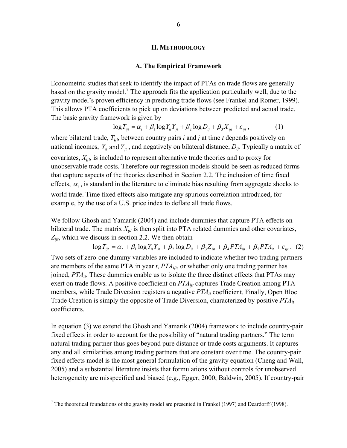#### **II. METHODOLOGY**

#### **A. The Empirical Framework**

Econometric studies that seek to identify the impact of PTAs on trade flows are generally based on the gravity model.<sup>7</sup> The approach fits the application particularly well, due to the gravity model's proven efficiency in predicting trade flows (see Frankel and Romer, 1999). This allows PTA coefficients to pick up on deviations between predicted and actual trade. The basic gravity framework is given by

$$
\log T_{ijt} = \alpha_t + \beta_1 \log Y_{it} Y_{jt} + \beta_2 \log D_{ij} + \beta_3 X_{ijt} + \varepsilon_{ijt},
$$
 (1)

where bilateral trade, *Tijt*, between country pairs *i* and *j* at time *t* depends positively on national incomes,  $Y_{it}$  and  $Y_{it}$ , and negatively on bilateral distance,  $D_{ij}$ . Typically a matrix of covariates, *Xijt*, is included to represent alternative trade theories and to proxy for unobservable trade costs. Therefore our regression models should be seen as reduced forms that capture aspects of the theories described in Section 2.2. The inclusion of time fixed effects,  $\alpha$ , is standard in the literature to eliminate bias resulting from aggregate shocks to world trade. Time fixed effects also mitigate any spurious correlation introduced, for example, by the use of a U.S. price index to deflate all trade flows.

We follow Ghosh and Yamarik (2004) and include dummies that capture PTA effects on bilateral trade. The matrix  $X_{ijt}$  is then split into PTA related dummies and other covariates, *Zijt*, which we discuss in section 2.2. We then obtain

 $\log T_{ijt} = \alpha_t + \beta_1 \log Y_{it} Y_{it} + \beta_2 \log D_{ij} + \beta_3 Z_{ijt} + \beta_4 P T A_{ijt} + \beta_5 P T A_{it} + \varepsilon_{ijt}$ . (2) Two sets of zero-one dummy variables are included to indicate whether two trading partners are members of the same PTA in year *t*, *PTAijt*, or whether only one trading partner has joined, *PTAit*. These dummies enable us to isolate the three distinct effects that PTAs may exert on trade flows. A positive coefficient on  $PTA_{ijt}$  captures Trade Creation among PTA members*,* while Trade Diversion registers a negative *PTAit* coefficient. Finally, Open Bloc Trade Creation is simply the opposite of Trade Diversion, characterized by positive *PTAit* coefficients.

In equation (3) we extend the Ghosh and Yamarik (2004) framework to include country-pair fixed effects in order to account for the possibility of "natural trading partners." The term natural trading partner thus goes beyond pure distance or trade costs arguments. It captures any and all similarities among trading partners that are constant over time. The country-pair fixed effects model is the most general formulation of the gravity equation (Cheng and Wall, 2005) and a substantial literature insists that formulations without controls for unobserved heterogeneity are misspecified and biased (e.g., Egger, 2000; Baldwin, 2005). If country-pair

1

<sup>&</sup>lt;sup>7</sup> The theoretical foundations of the gravity model are presented in Frankel (1997) and Deardorff (1998).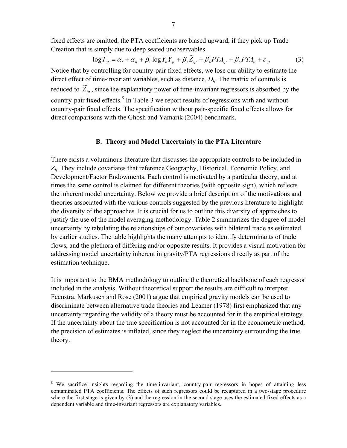fixed effects are omitted, the PTA coefficients are biased upward, if they pick up Trade Creation that is simply due to deep seated unobservables.

$$
\log T_{ijt} = \alpha_t + \alpha_{ij} + \beta_1 \log Y_{it} Y_{jt} + \beta_3 \widetilde{Z}_{ijt} + \beta_4 PTA_{ijt} + \beta_5 PTA_{it} + \varepsilon_{ijt}
$$
(3)

Notice that by controlling for country-pair fixed effects, we lose our ability to estimate the direct effect of time-invariant variables, such as distance, *Dij*. The matrix of controls is reduced to  $\widetilde{Z}_{ijt}$ , since the explanatory power of time-invariant regressors is absorbed by the country-pair fixed effects. $8 \text{ In Table 3 we report results of regressions with and without}$ country-pair fixed effects. The specification without pair-specific fixed effects allows for direct comparisons with the Ghosh and Yamarik (2004) benchmark.

#### **B. Theory and Model Uncertainty in the PTA Literature**

There exists a voluminous literature that discusses the appropriate controls to be included in *Zij*. They include covariates that reference Geography, Historical, Economic Policy, and Development/Factor Endowments. Each control is motivated by a particular theory, and at times the same control is claimed for different theories (with opposite sign), which reflects the inherent model uncertainty. Below we provide a brief description of the motivations and theories associated with the various controls suggested by the previous literature to highlight the diversity of the approaches. It is crucial for us to outline this diversity of approaches to justify the use of the model averaging methodology. Table 2 summarizes the degree of model uncertainty by tabulating the relationships of our covariates with bilateral trade as estimated by earlier studies. The table highlights the many attempts to identify determinants of trade flows, and the plethora of differing and/or opposite results. It provides a visual motivation for addressing model uncertainty inherent in gravity/PTA regressions directly as part of the estimation technique.

It is important to the BMA methodology to outline the theoretical backbone of each regressor included in the analysis. Without theoretical support the results are difficult to interpret. Feenstra, Markusen and Rose (2001) argue that empirical gravity models can be used to discriminate between alternative trade theories and Leamer (1978) first emphasized that any uncertainty regarding the validity of a theory must be accounted for in the empirical strategy. If the uncertainty about the true specification is not accounted for in the econometric method, the precision of estimates is inflated, since they neglect the uncertainty surrounding the true theory.

1

<sup>&</sup>lt;sup>8</sup> We sacrifice insights regarding the time-invariant, country-pair regressors in hopes of attaining less contaminated PTA coefficients. The effects of such regressors could be recaptured in a two-stage procedure where the first stage is given by (3) and the regression in the second stage uses the estimated fixed effects as a dependent variable and time-invariant regressors are explanatory variables.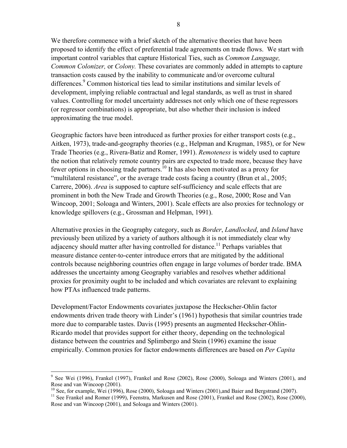We therefore commence with a brief sketch of the alternative theories that have been proposed to identify the effect of preferential trade agreements on trade flows. We start with important control variables that capture Historical Ties, such as *Common Language, Common Colonizer,* or *Colony.* These covariates are commonly added in attempts to capture transaction costs caused by the inability to communicate and/or overcome cultural differences.<sup>9</sup> Common historical ties lead to similar institutions and similar levels of development, implying reliable contractual and legal standards, as well as trust in shared values. Controlling for model uncertainty addresses not only which one of these regressors (or regressor combinations) is appropriate, but also whether their inclusion is indeed approximating the true model.

Geographic factors have been introduced as further proxies for either transport costs (e.g., Aitken, 1973), trade-and-geography theories (e.g., Helpman and Krugman, 1985), or for New Trade Theories (e.g., Rivera-Batiz and Romer, 1991). *Remoteness* is widely used to capture the notion that relatively remote country pairs are expected to trade more, because they have fewer options in choosing trade partners.10 It has also been motivated as a proxy for "multilateral resistance", or the average trade costs facing a country (Brun et al., 2005; Carrere, 2006). *Area* is supposed to capture self-sufficiency and scale effects that are prominent in both the New Trade and Growth Theories (e.g., Rose, 2000; Rose and Van Wincoop, 2001; Soloaga and Winters, 2001). Scale effects are also proxies for technology or knowledge spillovers (e.g., Grossman and Helpman, 1991).

Alternative proxies in the Geography category, such as *Border*, *Landlocked*, and *Island* have previously been utilized by a variety of authors although it is not immediately clear why adjacency should matter after having controlled for distance.<sup>11</sup> Perhaps variables that measure distance center-to-center introduce errors that are mitigated by the additional controls because neighboring countries often engage in large volumes of border trade. BMA addresses the uncertainty among Geography variables and resolves whether additional proxies for proximity ought to be included and which covariates are relevant to explaining how PTAs influenced trade patterns.

Development/Factor Endowments covariates juxtapose the Heckscher-Ohlin factor endowments driven trade theory with Linder's (1961) hypothesis that similar countries trade more due to comparable tastes. Davis (1995) presents an augmented Heckscher-Ohlin-Ricardo model that provides support for either theory, depending on the technological distance between the countries and Splimbergo and Stein (1996) examine the issue empirically. Common proxies for factor endowments differences are based on *Per Capita* 

<sup>&</sup>lt;sup>9</sup> See Wei (1996), Frankel (1997), Frankel and Rose (2002), Rose (2000), Soloaga and Winters (2001), and Rose and van Wincoop (2001).

 $^{10}$  See, for example, Wei (1996), Rose (2000), Soloaga and Winters (2001), and Baier and Bergstrand (2007).

<sup>&</sup>lt;sup>11</sup> See Frankel and Romer (1999), Feenstra, Markusen and Rose (2001), Frankel and Rose (2002), Rose (2000), Rose and van Wincoop (2001), and Soloaga and Winters (2001).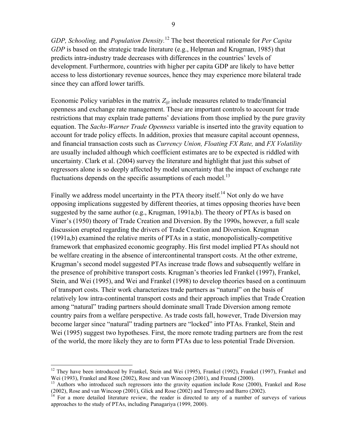*GDP, Schooling,* and *Population Density.*12 The best theoretical rationale for *Per Capita GDP* is based on the strategic trade literature (e.g., Helpman and Krugman, 1985) that predicts intra-industry trade decreases with differences in the countries' levels of development. Furthermore, countries with higher per capita GDP are likely to have better access to less distortionary revenue sources, hence they may experience more bilateral trade since they can afford lower tariffs.

Economic Policy variables in the matrix  $Z_{ijt}$  include measures related to trade/financial openness and exchange rate management. These are important controls to account for trade restrictions that may explain trade patterns' deviations from those implied by the pure gravity equation. The *Sachs-Warner Trade Openness* variable is inserted into the gravity equation to account for trade policy effects. In addition, proxies that measure capital account openness, and financial transaction costs such as *Currency Union, Floating FX Rate,* and *FX Volatility*  are usually included although which coefficient estimates are to be expected is riddled with uncertainty. Clark et al. (2004) survey the literature and highlight that just this subset of regressors alone is so deeply affected by model uncertainty that the impact of exchange rate fluctuations depends on the specific assumptions of each model.<sup>13</sup>

Finally we address model uncertainty in the PTA theory itself.<sup>14</sup> Not only do we have opposing implications suggested by different theories, at times opposing theories have been suggested by the same author (e.g., Krugman, 1991a,b). The theory of PTAs is based on Viner's (1950) theory of Trade Creation and Diversion. By the 1990s, however, a full scale discussion erupted regarding the drivers of Trade Creation and Diversion. Krugman (1991a,b) examined the relative merits of PTAs in a static, monopolistically-competitive framework that emphasized economic geography. His first model implied PTAs should not be welfare creating in the absence of intercontinental transport costs. At the other extreme, Krugman's second model suggested PTAs increase trade flows and subsequently welfare in the presence of prohibitive transport costs. Krugman's theories led Frankel (1997), Frankel, Stein, and Wei (1995), and Wei and Frankel (1998) to develop theories based on a continuum of transport costs. Their work characterizes trade partners as "natural" on the basis of relatively low intra-continental transport costs and their approach implies that Trade Creation among "natural" trading partners should dominate small Trade Diversion among remote country pairs from a welfare perspective. As trade costs fall, however, Trade Diversion may become larger since "natural" trading partners are "locked" into PTAs. Frankel, Stein and Wei (1995) suggest two hypotheses. First, the more remote trading partners are from the rest of the world, the more likely they are to form PTAs due to less potential Trade Diversion.

1

 $12$  They have been introduced by Frankel, Stein and Wei (1995), Frankel (1992), Frankel (1997), Frankel and Wei (1993), Frankel and Rose (2002), Rose and van Wincoop (2001), and Freund (2000).

<sup>&</sup>lt;sup>13</sup> Authors who introduced such regressors into the gravity equation include Rose (2000), Frankel and Rose (2002), Rose and van Wincoop (2001), Glick and Rose (2002) and Tenreyro and Barro (2002).

<sup>&</sup>lt;sup>14</sup> For a more detailed literature review, the reader is directed to any of a number of surveys of various approaches to the study of PTAs, including Panagariya (1999, 2000).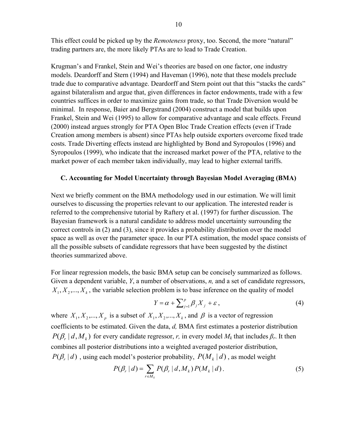This effect could be picked up by the *Remoteness* proxy, too. Second, the more "natural" trading partners are, the more likely PTAs are to lead to Trade Creation.

Krugman's and Frankel, Stein and Wei's theories are based on one factor, one industry models. Deardorff and Stern (1994) and Haveman (1996), note that these models preclude trade due to comparative advantage. Deardorff and Stern point out that this "stacks the cards" against bilateralism and argue that, given differences in factor endowments, trade with a few countries suffices in order to maximize gains from trade, so that Trade Diversion would be minimal. In response, Baier and Bergstrand (2004) construct a model that builds upon Frankel, Stein and Wei (1995) to allow for comparative advantage and scale effects. Freund (2000) instead argues strongly for PTA Open Bloc Trade Creation effects (even if Trade Creation among members is absent) since PTAs help outside exporters overcome fixed trade costs. Trade Diverting effects instead are highlighted by Bond and Syropoulos (1996) and Syropoulos (1999), who indicate that the increased market power of the PTA, relative to the market power of each member taken individually, may lead to higher external tariffs.

#### **C. Accounting for Model Uncertainty through Bayesian Model Averaging (BMA)**

Next we briefly comment on the BMA methodology used in our estimation. We will limit ourselves to discussing the properties relevant to our application. The interested reader is referred to the comprehensive tutorial by Raftery et al. (1997) for further discussion. The Bayesian framework is a natural candidate to address model uncertainty surrounding the correct controls in (2) and (3), since it provides a probability distribution over the model space as well as over the parameter space. In our PTA estimation, the model space consists of all the possible subsets of candidate regressors that have been suggested by the distinct theories summarized above.

For linear regression models, the basic BMA setup can be concisely summarized as follows. Given a dependent variable, *Y*, a number of observations, *n,* and a set of candidate regressors,  $X_1, X_2, \ldots, X_k$ , the variable selection problem is to base inference on the quality of model

$$
Y = \alpha + \sum_{j=1}^{p} \beta_j X_j + \varepsilon \,, \tag{4}
$$

where  $X_1, X_2, ..., X_p$  is a subset of  $X_1, X_2, ..., X_k$ , and  $\beta$  is a vector of regression coefficients to be estimated. Given the data, *d,* BMA first estimates a posterior distribution  $P(\beta_r | d, M_k)$  for every candidate regressor, *r*, in every model  $M_k$  that includes  $\beta_r$ . It then combines all posterior distributions into a weighted averaged posterior distribution,  $P(\beta_r | d)$ , using each model's posterior probability,  $P(M_k | d)$ , as model weight

$$
P(\beta_r | d) = \sum_{r \in M_k} P(\beta_r | d, M_k) P(M_k | d).
$$
 (5)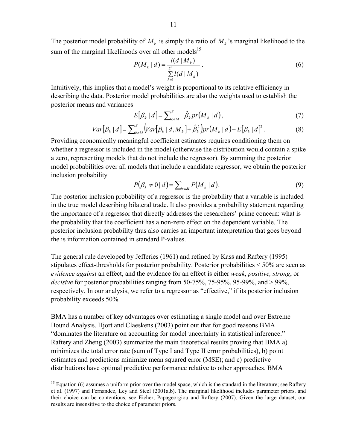The posterior model probability of  $M_k$  is simply the ratio of  $M_k$ 's marginal likelihood to the sum of the marginal likelihoods over all other models<sup>15</sup>

$$
P(M_k | d) = \frac{l(d | M_k)}{\sum_{h=1}^{2^k} l(d | M_h)}.
$$
 (6)

Intuitively, this implies that a model's weight is proportional to its relative efficiency in describing the data. Posterior model probabilities are also the weights used to establish the posterior means and variances

$$
E[\beta_k | d] = \sum_{k \in M}^{K} \hat{\beta}_k pr(M_k | d), \qquad (7)
$$

$$
Var[\beta_k | d] = \sum_{k \in M}^{K} (Var[\beta_k | d, M_k] + \hat{\beta}_k^2) pr(M_k | d) - E[\beta_k | d]^2.
$$
 (8)

Providing economically meaningful coefficient estimates requires conditioning them on whether a regressor is included in the model (otherwise the distribution would contain a spike a zero, representing models that do not include the regressor). By summing the posterior model probabilities over all models that include a candidate regressor, we obtain the posterior inclusion probability

$$
P(\beta_k \neq 0 \mid d) = \sum_{r \in M} P(M_k \mid d). \tag{9}
$$

The posterior inclusion probability of a regressor is the probability that a variable is included in the true model describing bilateral trade. It also provides a probability statement regarding the importance of a regressor that directly addresses the researchers' prime concern: what is the probability that the coefficient has a non-zero effect on the dependent variable. The posterior inclusion probability thus also carries an important interpretation that goes beyond the is information contained in standard P-values.

The general rule developed by Jefferies (1961) and refined by Kass and Raftery (1995) stipulates effect-thresholds for posterior probability. Posterior probabilities < 50% are seen as *evidence against* an effect, and the evidence for an effect is either *weak*, *positive, strong*, or *decisive* for posterior probabilities ranging from 50-75%, 75-95%, 95-99%, and > 99%, respectively. In our analysis, we refer to a regressor as "effective," if its posterior inclusion probability exceeds 50%.

BMA has a number of key advantages over estimating a single model and over Extreme Bound Analysis. Hjort and Claeskens (2003) point out that for good reasons BMA "dominates the literature on accounting for model uncertainty in statistical inference." Raftery and Zheng (2003) summarize the main theoretical results proving that BMA a) minimizes the total error rate (sum of Type I and Type II error probabilities), b) point estimates and predictions minimize mean squared error (MSE); and c) predictive distributions have optimal predictive performance relative to other approaches. BMA

<u>.</u>

 $15$  Equation (6) assumes a uniform prior over the model space, which is the standard in the literature; see Raftery et al. (1997) and Fernandez, Ley and Steel (2001a,b). The marginal likelihood includes parameter priors, and their choice can be contentious, see Eicher, Papageorgiou and Raftery (2007). Given the large dataset, our results are insensitive to the choice of parameter priors.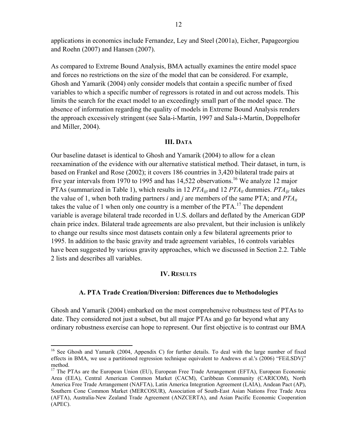applications in economics include Fernandez, Ley and Steel (2001a), Eicher, Papageorgiou and Roehn (2007) and Hansen (2007).

As compared to Extreme Bound Analysis, BMA actually examines the entire model space and forces no restrictions on the size of the model that can be considered. For example, Ghosh and Yamarik (2004) only consider models that contain a specific number of fixed variables to which a specific number of regressors is rotated in and out across models. This limits the search for the exact model to an exceedingly small part of the model space. The absence of information regarding the quality of models in Extreme Bound Analysis renders the approach excessively stringent (see Sala-i-Martin, 1997 and Sala-i-Martin, Doppelhofer and Miller, 2004).

#### **III. DATA**

Our baseline dataset is identical to Ghosh and Yamarik (2004) to allow for a clean reexamination of the evidence with our alternative statistical method. Their dataset, in turn, is based on Frankel and Rose (2002); it covers 186 countries in 3,420 bilateral trade pairs at five year intervals from 1970 to 1995 and has  $14,522$  observations.<sup>16</sup> We analyze 12 major PTAs (summarized in Table 1), which results in 12 *PTAijt* and 12 *PTAit* dummies. *PTAijt* takes the value of 1, when both trading partners *i* and *j* are members of the same PTA; and *PTAit* takes the value of 1 when only one country is a member of the  $PTA$ .<sup>17</sup> The dependent variable is average bilateral trade recorded in U.S. dollars and deflated by the American GDP chain price index. Bilateral trade agreements are also prevalent, but their inclusion is unlikely to change our results since most datasets contain only a few bilateral agreements prior to 1995. In addition to the basic gravity and trade agreement variables, 16 controls variables have been suggested by various gravity approaches, which we discussed in Section 2.2. Table 2 lists and describes all variables.

#### **IV. RESULTS**

#### **A. PTA Trade Creation/Diversion: Differences due to Methodologies**

Ghosh and Yamarik (2004) embarked on the most comprehensive robustness test of PTAs to date. They considered not just a subset, but all major PTAs and go far beyond what any ordinary robustness exercise can hope to represent. Our first objective is to contrast our BMA

 $\overline{a}$ 

<sup>&</sup>lt;sup>16</sup> See Ghosh and Yamarik (2004, Appendix C) for further details. To deal with the large number of fixed effects in BMA, we use a partitioned regression technique equivalent to Andrews et al.'s (2006) "FEiLSDVj" method.

<sup>&</sup>lt;sup>17</sup> The PTAs are the European Union (EU), European Free Trade Arrangement (EFTA), European Economic Area (EEA), Central American Common Market (CACM), Caribbean Community (CARICOM), North America Free Trade Arrangement (NAFTA), Latin America Integration Agreement (LAIA), Andean Pact (AP), Southern Cone Common Market (MERCOSUR), Association of South-East Asian Nations Free Trade Area (AFTA), Australia-New Zealand Trade Agreement (ANZCERTA), and Asian Pacific Economic Cooperation (APEC).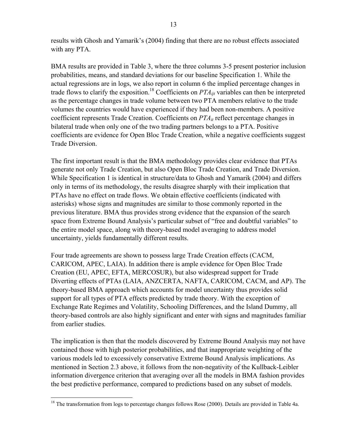results with Ghosh and Yamarik's (2004) finding that there are no robust effects associated with any PTA.

BMA results are provided in Table 3, where the three columns 3-5 present posterior inclusion probabilities, means, and standard deviations for our baseline Specification 1. While the actual regressions are in logs, we also report in column 6 the implied percentage changes in trade flows to clarify the exposition.<sup>18</sup> Coefficients on  $PTA_{ii}$  variables can then be interpreted as the percentage changes in trade volume between two PTA members relative to the trade volumes the countries would have experienced if they had been non-members. A positive coefficient represents Trade Creation. Coefficients on  $PTA_{it}$  reflect percentage changes in bilateral trade when only one of the two trading partners belongs to a PTA. Positive coefficients are evidence for Open Bloc Trade Creation, while a negative coefficients suggest Trade Diversion.

The first important result is that the BMA methodology provides clear evidence that PTAs generate not only Trade Creation, but also Open Bloc Trade Creation, and Trade Diversion. While Specification 1 is identical in structure/data to Ghosh and Yamarik (2004) and differs only in terms of its methodology, the results disagree sharply with their implication that PTAs have no effect on trade flows. We obtain effective coefficients (indicated with asterisks) whose signs and magnitudes are similar to those commonly reported in the previous literature. BMA thus provides strong evidence that the expansion of the search space from Extreme Bound Analysis's particular subset of "free and doubtful variables" to the entire model space, along with theory-based model averaging to address model uncertainty, yields fundamentally different results.

Four trade agreements are shown to possess large Trade Creation effects (CACM, CARICOM, APEC, LAIA). In addition there is ample evidence for Open Bloc Trade Creation (EU, APEC, EFTA, MERCOSUR), but also widespread support for Trade Diverting effects of PTAs (LAIA, ANZCERTA, NAFTA, CARICOM, CACM, and AP). The theory-based BMA approach which accounts for model uncertainty thus provides solid support for all types of PTA effects predicted by trade theory. With the exception of Exchange Rate Regimes and Volatility, Schooling Differences, and the Island Dummy, all theory-based controls are also highly significant and enter with signs and magnitudes familiar from earlier studies.

The implication is then that the models discovered by Extreme Bound Analysis may not have contained those with high posterior probabilities, and that inappropriate weighting of the various models led to excessively conservative Extreme Bound Analysis implications. As mentioned in Section 2.3 above, it follows from the non-negativity of the Kullback-Leibler information divergence criterion that averaging over all the models in BMA fashion provides the best predictive performance, compared to predictions based on any subset of models.

 $\overline{a}$  $18$  The transformation from logs to percentage changes follows Rose (2000). Details are provided in Table 4a.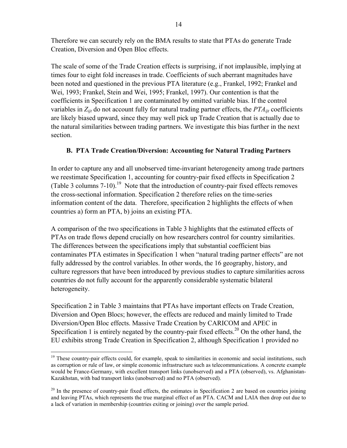Therefore we can securely rely on the BMA results to state that PTAs do generate Trade Creation, Diversion and Open Bloc effects.

The scale of some of the Trade Creation effects is surprising, if not implausible, implying at times four to eight fold increases in trade. Coefficients of such aberrant magnitudes have been noted and questioned in the previous PTA literature (e.g., Frankel, 1992; Frankel and Wei, 1993; Frankel, Stein and Wei, 1995; Frankel, 1997). Our contention is that the coefficients in Specification 1 are contaminated by omitted variable bias. If the control variables in  $Z_{ijt}$  do not account fully for natural trading partner effects, the  $PTA_{ijt}$  coefficients are likely biased upward, since they may well pick up Trade Creation that is actually due to the natural similarities between trading partners. We investigate this bias further in the next section.

## **B. PTA Trade Creation/Diversion: Accounting for Natural Trading Partners**

In order to capture any and all unobserved time-invariant heterogeneity among trade partners we reestimate Specification 1, accounting for country-pair fixed effects in Specification 2 (Table 3 columns  $7-10$ ).<sup>19</sup> Note that the introduction of country-pair fixed effects removes the cross-sectional information. Specification 2 therefore relies on the time-series information content of the data. Therefore, specification 2 highlights the effects of when countries a) form an PTA, b) joins an existing PTA.

A comparison of the two specifications in Table 3 highlights that the estimated effects of PTAs on trade flows depend crucially on how researchers control for country similarities. The differences between the specifications imply that substantial coefficient bias contaminates PTA estimates in Specification 1 when "natural trading partner effects" are not fully addressed by the control variables. In other words, the 16 geography, history, and culture regressors that have been introduced by previous studies to capture similarities across countries do not fully account for the apparently considerable systematic bilateral heterogeneity.

Specification 2 in Table 3 maintains that PTAs have important effects on Trade Creation, Diversion and Open Blocs; however, the effects are reduced and mainly limited to Trade Diversion/Open Bloc effects. Massive Trade Creation by CARICOM and APEC in Specification 1 is entirely negated by the country-pair fixed effects.<sup>20</sup> On the other hand, the EU exhibits strong Trade Creation in Specification 2, although Specification 1 provided no

 $\overline{a}$ 

<sup>&</sup>lt;sup>19</sup> These country-pair effects could, for example, speak to similarities in economic and social institutions, such as corruption or rule of law, or simple economic infrastructure such as telecommunications. A concrete example would be France-Germany, with excellent transport links (unobserved) and a PTA (observed), vs. Afghanistan-Kazakhstan, with bad transport links (unobserved) and no PTA (observed).

 $^{20}$  In the presence of country-pair fixed effects, the estimates in Specification 2 are based on countries joining and leaving PTAs, which represents the true marginal effect of an PTA. CACM and LAIA then drop out due to a lack of variation in membership (countries exiting or joining) over the sample period.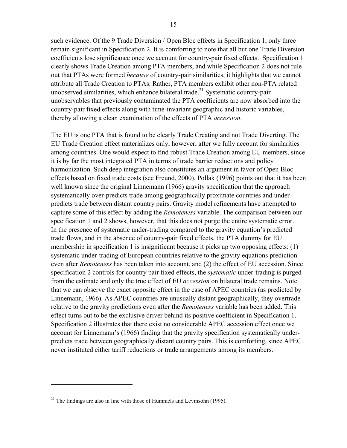such evidence. Of the 9 Trade Diversion / Open Bloc effects in Specification 1, only three remain significant in Specification 2. It is comforting to note that all but one Trade Diversion coefficients lose significance once we account for country-pair fixed effects. Specification 1 clearly shows Trade Creation among PTA members, and while Specification 2 does not rule out that PTAs were formed *because* of country-pair similarities, it highlights that we cannot attribute all Trade Creation to PTAs. Rather, PTA members exhibit other non-PTA related unobserved similarities, which enhance bilateral trade.<sup>21</sup> Systematic country-pair unobservables that previously contaminated the PTA coefficients are now absorbed into the country-pair fixed effects along with time-invariant geographic and historic variables, thereby allowing a clean examination of the effects of PTA *accession*.

The EU is one PTA that is found to be clearly Trade Creating and not Trade Diverting. The EU Trade Creation effect materializes only, however, after we fully account for similarities among countries. One would expect to find robust Trade Creation among EU members, since it is by far the most integrated PTA in terms of trade barrier reductions and policy harmonization. Such deep integration also constitutes an argument in favor of Open Bloc effects based on fixed trade costs (see Freund, 2000). Pollak (1996) points out that it has been well known since the original Linnemann (1966) gravity specification that the approach systematically over-predicts trade among geographically proximate countries and underpredicts trade between distant country pairs. Gravity model refinements have attempted to capture some of this effect by adding the *Remoteness* variable. The comparison between our specification 1 and 2 shows, however, that this does not purge the entire systematic error. In the presence of systematic under-trading compared to the gravity equation's predicted trade flows, and in the absence of country-pair fixed effects, the PTA dummy for EU membership in specification 1 is insignificant because it picks up two opposing effects: (1) systematic under-trading of European countries relative to the gravity equations prediction even after *Remoteness* has been taken into account, and (2) the effect of EU accession. Since specification 2 controls for country pair fixed effects, the *systematic* under-trading is purged from the estimate and only the true effect of EU *accession* on bilateral trade remains. Note that we can observe the exact opposite effect in the case of APEC countries (as predicted by Linnemann, 1966). As APEC countries are unusually distant geographically, they overtrade relative to the gravity predictions even after the *Remoteness* variable has been added. This effect turns out to be the exclusive driver behind its positive coefficient in Specification 1. Specification 2 illustrates that there exist no considerable APEC accession effect once we account for Linnemann's (1966) finding that the gravity specification systematically underpredicts trade between geographically distant country pairs. This is comforting, since APEC never instituted either tariff reductions or trade arrangements among its members.

 $\overline{a}$ 

<sup>&</sup>lt;sup>21</sup> The findings are also in line with those of Hummels and Levinsohn (1995).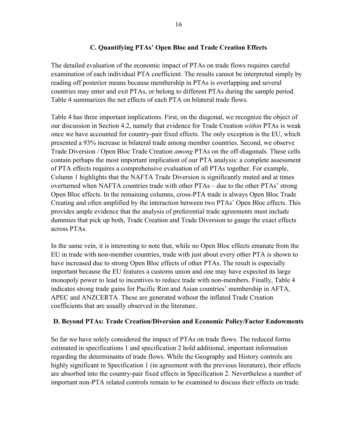## **C. Quantifying PTAs' Open Bloc and Trade Creation Effects**

The detailed evaluation of the economic impact of PTAs on trade flows requires careful examination of each individual PTA coefficient. The results cannot be interpreted simply by reading off posterior means because membership in PTAs is overlapping and several countries may enter and exit PTAs, or belong to different PTAs during the sample period. Table 4 summarizes the net effects of each PTA on bilateral trade flows.

Table 4 has three important implications. First, on the diagonal, we recognize the object of our discussion in Section 4.2, namely that evidence for Trade Creation *within* PTAs is weak once we have accounted for country-pair fixed effects. The only exception is the EU, which presented a 93% increase in bilateral trade among member countries. Second, we observe Trade Diversion / Open Bloc Trade Creation *among* PTAs on the off-diagonals. These cells contain perhaps the most important implication of our PTA analysis: a complete assessment of PTA effects requires a comprehensive evaluation of all PTAs together. For example, Column 1 highlights that the NAFTA Trade Diversion is significantly muted and at times overturned when NAFTA countries trade with other PTAs – due to the other PTAs' strong Open Bloc effects. In the remaining columns, cross-PTA trade is always Open Bloc Trade Creating and often amplified by the interaction between two PTAs' Open Bloc effects. This provides ample evidence that the analysis of preferential trade agreements must include dummies that pick up both, Trade Creation and Trade Diversion to gauge the exact effects across PTAs.

In the same vein, it is interesting to note that, while no Open Bloc effects emanate from the EU in trade with non-member countries, trade with just about every other PTA is shown to have increased due to strong Open Bloc effects of other PTAs. The result is especially important because the EU features a customs union and one may have expected its large monopoly power to lead to incentives to reduce trade with non-members. Finally, Table 4 indicates strong trade gains for Pacific Rim and Asian countries' membership in AFTA, APEC and ANZCERTA. These are generated without the inflated Trade Creation coefficients that are usually observed in the literature.

## **D. Beyond PTAs: Trade Creation/Diversion and Economic Policy/Factor Endowments**

So far we have solely considered the impact of PTAs on trade flows. The reduced forms estimated in specifications 1 and specification 2 hold additional, important information regarding the determinants of trade flows. While the Geography and History controls are highly significant in Specification 1 (in agreement with the previous literature), their effects are absorbed into the country-pair fixed effects in Specification 2. Nevertheless a number of important non-PTA related controls remain to be examined to discuss their effects on trade.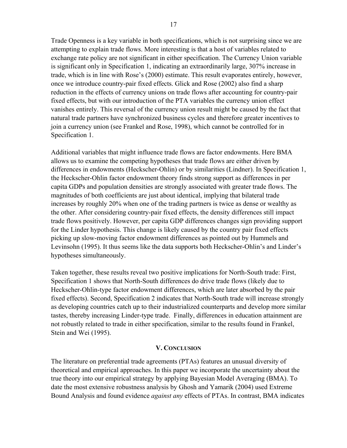Trade Openness is a key variable in both specifications, which is not surprising since we are attempting to explain trade flows. More interesting is that a host of variables related to exchange rate policy are not significant in either specification. The Currency Union variable is significant only in Specification 1, indicating an extraordinarily large, 307% increase in trade, which is in line with Rose's (2000) estimate. This result evaporates entirely, however, once we introduce country-pair fixed effects. Glick and Rose (2002) also find a sharp reduction in the effects of currency unions on trade flows after accounting for country-pair fixed effects, but with our introduction of the PTA variables the currency union effect vanishes entirely. This reversal of the currency union result might be caused by the fact that natural trade partners have synchronized business cycles and therefore greater incentives to join a currency union (see Frankel and Rose, 1998), which cannot be controlled for in Specification 1.

Additional variables that might influence trade flows are factor endowments. Here BMA allows us to examine the competing hypotheses that trade flows are either driven by differences in endowments (Heckscher-Ohlin) or by similarities (Lindner). In Specification 1, the Heckscher-Ohlin factor endowment theory finds strong support as differences in per capita GDPs and population densities are strongly associated with greater trade flows. The magnitudes of both coefficients are just about identical, implying that bilateral trade increases by roughly 20% when one of the trading partners is twice as dense or wealthy as the other. After considering country-pair fixed effects, the density differences still impact trade flows positively. However, per capita GDP differences changes sign providing support for the Linder hypothesis. This change is likely caused by the country pair fixed effects picking up slow-moving factor endowment differences as pointed out by Hummels and Levinsohn (1995). It thus seems like the data supports both Heckscher-Ohlin's and Linder's hypotheses simultaneously.

Taken together, these results reveal two positive implications for North-South trade: First, Specification 1 shows that North-South differences do drive trade flows (likely due to Heckscher-Ohlin-type factor endowment differences, which are later absorbed by the pair fixed effects). Second, Specification 2 indicates that North-South trade will increase strongly as developing countries catch up to their industrialized counterparts and develop more similar tastes, thereby increasing Linder-type trade. Finally, differences in education attainment are not robustly related to trade in either specification, similar to the results found in Frankel, Stein and Wei (1995).

#### **V. CONCLUSION**

The literature on preferential trade agreements (PTAs) features an unusual diversity of theoretical and empirical approaches. In this paper we incorporate the uncertainty about the true theory into our empirical strategy by applying Bayesian Model Averaging (BMA). To date the most extensive robustness analysis by Ghosh and Yamarik (2004) used Extreme Bound Analysis and found evidence *against any* effects of PTAs. In contrast, BMA indicates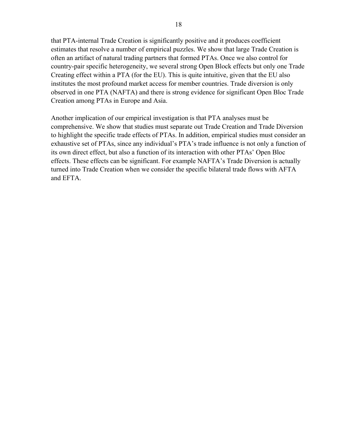that PTA-internal Trade Creation is significantly positive and it produces coefficient estimates that resolve a number of empirical puzzles. We show that large Trade Creation is often an artifact of natural trading partners that formed PTAs. Once we also control for country-pair specific heterogeneity, we several strong Open Block effects but only one Trade Creating effect within a PTA (for the EU). This is quite intuitive, given that the EU also institutes the most profound market access for member countries. Trade diversion is only observed in one PTA (NAFTA) and there is strong evidence for significant Open Bloc Trade Creation among PTAs in Europe and Asia.

Another implication of our empirical investigation is that PTA analyses must be comprehensive. We show that studies must separate out Trade Creation and Trade Diversion to highlight the specific trade effects of PTAs. In addition, empirical studies must consider an exhaustive set of PTAs, since any individual's PTA's trade influence is not only a function of its own direct effect, but also a function of its interaction with other PTAs' Open Bloc effects. These effects can be significant. For example NAFTA's Trade Diversion is actually turned into Trade Creation when we consider the specific bilateral trade flows with AFTA and EFTA.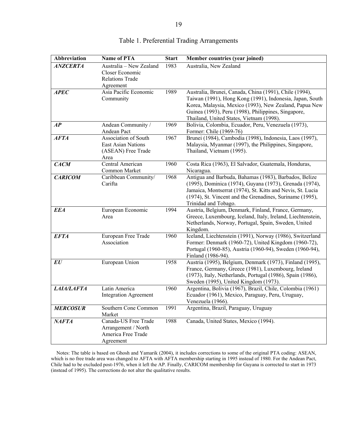| <b>Abbreviation</b> | <b>Name of PTA</b>                                                                | <b>Start</b> | Member countries (year joined)                                                                                                                                                                                                                                                  |
|---------------------|-----------------------------------------------------------------------------------|--------------|---------------------------------------------------------------------------------------------------------------------------------------------------------------------------------------------------------------------------------------------------------------------------------|
| <b>ANZCERTA</b>     | Australia - New Zealand<br>Closer Economic<br><b>Relations Trade</b><br>Agreement | 1983         | Australia, New Zealand                                                                                                                                                                                                                                                          |
| <b>APEC</b>         | Asia Pacific Economic<br>Community                                                | 1989         | Australia, Brunei, Canada, China (1991), Chile (1994),<br>Taiwan (1991), Hong Kong (1991), Indonesia, Japan, South<br>Korea, Malaysia, Mexico (1993), New Zealand, Papua New<br>Guinea (1993), Peru (1998), Philippines, Singapore,<br>Thailand, United States, Vietnam (1998). |
| AP                  | Andean Community /<br>Andean Pact                                                 | 1969         | Bolivia, Colombia, Ecuador, Peru, Venezuela (1973),<br>Former: Chile (1969-76)                                                                                                                                                                                                  |
| <b>AFTA</b>         | Association of South<br>East Asian Nations<br>(ASEAN) Free Trade<br>Area          | 1967         | Brunei (1984), Cambodia (1998), Indonesia, Laos (1997),<br>Malaysia, Myanmar (1997), the Philippines, Singapore,<br>Thailand, Vietnam (1995).                                                                                                                                   |
| <b>CACM</b>         | Central American<br>Common Market                                                 | 1960         | Costa Rica (1963), El Salvador, Guatemala, Honduras,<br>Nicaragua.                                                                                                                                                                                                              |
| <b>CARICOM</b>      | Caribbean Community/<br>Carifta                                                   | 1968         | Antigua and Barbuda, Bahamas (1983), Barbados, Belize<br>(1995), Dominica (1974), Guyana (1973), Grenada (1974),<br>Jamaica, Montserrat (1974), St. Kitts and Nevis, St. Lucia<br>(1974), St. Vincent and the Grenadines, Suriname (1995),<br>Trinidad and Tobago.              |
| <b>EEA</b>          | European Economic<br>Area                                                         | 1994         | Austria, Belgium, Denmark, Finland, France, Germany,<br>Greece, Luxembourg, Iceland, Italy, Ireland, Liechtenstein,<br>Netherlands, Norway, Portugal, Spain, Sweden, United<br>Kingdom.                                                                                         |
| <b>EFTA</b>         | European Free Trade<br>Association                                                | 1960         | Iceland, Liechtenstein (1991), Norway (1986), Switzerland<br>Former: Denmark (1960-72), United Kingdom (1960-72),<br>Portugal (1960-85), Austria (1960-94), Sweden (1960-94),<br>Finland (1986-94).                                                                             |
| E U                 | European Union                                                                    | 1958         | Austria (1995), Belgium, Denmark (1973), Finland (1995),<br>France, Germany, Greece (1981), Luxembourg, Ireland<br>(1973), Italy, Netherlands, Portugal (1986), Spain (1986),<br>Sweden (1995), United Kingdom (1973).                                                          |
| <b>LAIA/LAFTA</b>   | Latin America<br><b>Integration Agreement</b>                                     | 1960         | Argentina, Bolivia (1967), Brazil, Chile, Colombia (1961)<br>Ecuador (1961), Mexico, Paraguay, Peru, Uruguay,<br>Venezuela (1966).                                                                                                                                              |
| <b>MERCOSUR</b>     | Southern Cone Common<br>Market                                                    | 1991         | Argentina, Brazil, Paraguay, Uruguay                                                                                                                                                                                                                                            |
| <i>NAFTA</i>        | Canada-US Free Trade<br>Arrangement / North<br>America Free Trade<br>Agreement    | 1988         | Canada, United States, Mexico (1994).                                                                                                                                                                                                                                           |

#### Table 1. Preferential Trading Arrangements

 Notes: The table is based on Ghosh and Yamarik (2004), it includes corrections to some of the original PTA coding: ASEAN, which is no free trade area was changed to AFTA with AFTA membership starting in 1995 instead of 1980. For the Andean Pact, Chile had to be excluded post-1976, when it left the AP. Finally, CARICOM membership for Guyana is corrected to start in 1973 (instead of 1995). The corrections do not alter the qualitative results.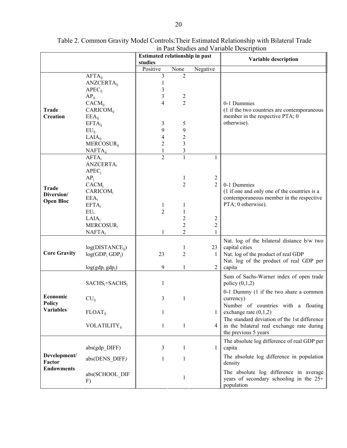|                                             |                                 | Estimated relationship in past |                |                | Variable description                                                           |  |
|---------------------------------------------|---------------------------------|--------------------------------|----------------|----------------|--------------------------------------------------------------------------------|--|
|                                             |                                 | studies<br>Positive            | None           | Negative       |                                                                                |  |
|                                             | $AFTA_{ii}$                     | 3                              | 2              |                |                                                                                |  |
|                                             | <b>ANZCERTA</b> <sub>ii</sub>   |                                |                |                |                                                                                |  |
|                                             | $APEC_{ii}$                     | 3                              |                |                |                                                                                |  |
|                                             | $AP_{ij}$                       | 3                              | 2              |                |                                                                                |  |
|                                             | $CACM_{ii}$                     | 4                              | 2              |                | 0-1 Dummies                                                                    |  |
| Trade                                       | <b>CARICOM</b> <sub>ii</sub>    |                                |                |                | (1 if the two countries are contemporaneous                                    |  |
| <b>Creation</b>                             | $EEA_{ii}$                      |                                |                |                | member in the respective PTA; 0                                                |  |
|                                             | $EFTA_{ij}$                     | 3                              | 5              |                | otherwise).                                                                    |  |
|                                             | $EU_{ij}$                       | 9                              | 9              |                |                                                                                |  |
|                                             | $LAIA_{ii}$                     | 4                              | $\overline{c}$ |                |                                                                                |  |
|                                             | MERCOSUR <sub>ij</sub>          | $\overline{2}$                 | 3              |                |                                                                                |  |
|                                             | $NAFTA_{ij}$<br>$AFTA_i$        | 1<br>$\overline{2}$            | 3              | 1              |                                                                                |  |
|                                             | <b>ANZCERTA</b> <sub>i</sub>    |                                |                |                |                                                                                |  |
|                                             | APEC <sub>i</sub>               |                                |                |                |                                                                                |  |
|                                             | AP <sub>i</sub>                 |                                | 1              | $\overline{2}$ |                                                                                |  |
|                                             | $CACM_i$                        |                                | 2              | $\overline{2}$ | 0-1 Dummies                                                                    |  |
| <b>Trade</b>                                | CARICOM <sub>i</sub>            |                                |                |                | (1 if one and only one of the countries is a                                   |  |
| Diversion/<br><b>Open Bloc</b>              | $EEA_i$                         |                                |                |                | contemporaneous member in the respective                                       |  |
|                                             | $EFTA_i$                        | 1                              | 1              |                | PTA; 0 otherwise).                                                             |  |
|                                             | $EU_i$                          | $\overline{2}$                 |                |                |                                                                                |  |
|                                             | LAIA <sub>i</sub>               |                                | 2              | 2              |                                                                                |  |
|                                             | MERCOSUR <sub>i</sub>           |                                | 2              | 2              |                                                                                |  |
|                                             | $NAFTA_i$                       |                                | 2              |                |                                                                                |  |
| <b>Core Gravity</b>                         |                                 |                                |                |                | Nat. log of the bilateral distance b/w two                                     |  |
|                                             | $log(DISTANCE_{ii})$            |                                | 1              | 23             | capital cities                                                                 |  |
|                                             | $log(GDP_i GDP_i)$              | 23                             | 2              | 1              | Nat. log of the product of real GDP<br>Nat. log of the product of real GDP per |  |
|                                             | $log(gdp_i gdp_i)$              | 9                              | 1              | $\overline{2}$ | capita                                                                         |  |
|                                             |                                 |                                |                |                |                                                                                |  |
|                                             | $SACHS_i + SACHS_i$             | 1                              |                |                | Sum of Sachs-Warner index of open trade<br>policy $(0,1,2)$                    |  |
|                                             |                                 |                                |                |                |                                                                                |  |
| Economic                                    | $CU_{ii}$                       | 3                              | 1              |                | 0-1 Dummy (1 if the two share a common<br>currency)                            |  |
| Policy                                      |                                 |                                |                |                | Number of countries with a floating                                            |  |
| <b>Variables</b>                            | <b>FLOAT</b> <sub>ii</sub>      | 1                              |                | 1              | exchange rate $(0,1,2)$                                                        |  |
|                                             |                                 |                                |                |                | The standard deviation of the 1st difference                                   |  |
|                                             | <b>VOLATILITY</b> <sub>ii</sub> | $\mathbf{1}$                   | $\mathbf{1}$   | 4              | in the bilateral real exchange rate during                                     |  |
|                                             |                                 |                                |                |                | the previous 5 years                                                           |  |
|                                             |                                 |                                |                |                | The absolute log difference of real GDP per                                    |  |
| Development/<br>Factor<br><b>Endowments</b> | $abs(gdp$ DIFF)                 | 3                              | 1              | 1              | capita                                                                         |  |
|                                             | abs(DENS DIFF)                  | 1                              | 1              |                | The absolute log difference in population                                      |  |
|                                             |                                 |                                |                |                | density                                                                        |  |
|                                             |                                 |                                |                |                | The absolute log difference in average                                         |  |
|                                             | abs(SCHOOL DIF<br>F)            |                                | 1              |                | years of secondary schooling in the $25+$                                      |  |
|                                             |                                 |                                |                |                | population                                                                     |  |

Table 2. Common Gravity Model Controls:Their Estimated Relationship with Bilateral Trade in Past Studies and Variable Description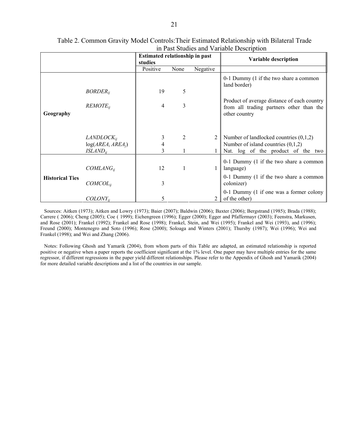|                        |                                                          | <b>Estimated relationship in past</b><br>studies |      |              | Variable description                                                                                                   |
|------------------------|----------------------------------------------------------|--------------------------------------------------|------|--------------|------------------------------------------------------------------------------------------------------------------------|
|                        |                                                          | Positive                                         | None | Negative     |                                                                                                                        |
|                        |                                                          |                                                  |      |              | 0-1 Dummy (1 if the two share a common<br>land border)                                                                 |
|                        | $BORDER_{ii}$                                            | 19                                               | 5    |              |                                                                                                                        |
| Geography              | $REMOTE_{ii}$                                            | 4                                                | 3    |              | Product of average distance of each country<br>from all trading partners other than the<br>other country               |
|                        |                                                          |                                                  |      |              |                                                                                                                        |
|                        | $LANDLOCK_{ii}$<br>$log(AREA_i AREA_i)$<br>$ISLAND_{ii}$ | 3<br>4<br>3                                      | 2    | 2            | Number of landlocked countries $(0,1,2)$<br>Number of island countries $(0,1,2)$<br>Nat. log of the product of the two |
|                        | $COMLANG_{ii}$                                           | 12                                               | 1    | $\mathbf{1}$ | 0-1 Dummy (1 if the two share a common<br>language)                                                                    |
| <b>Historical Ties</b> | $COMCOL_{ii}$                                            | 3                                                |      |              | 0-1 Dummy (1 if the two share a common<br>colonizer)                                                                   |
|                        | $COLONY_{ii}$                                            | 5                                                |      |              | 0-1 Dummy (1 if one was a former colony<br>of the other)                                                               |

#### Table 2. Common Gravity Model Controls:Their Estimated Relationship with Bilateral Trade in Past Studies and Variable Description

 Sources: Aitken (1973); Aitken and Lowry (1973); Baier (2007); Baldwin (2006); Baxter (2006); Bergstrand (1985); Brada (1988); Carrere ( 2006); Cheng (2005); Coe ( 1999); Eichengreen (1996); Egger (2000); Egger and Pfaffermayr (2003); Feenstra, Markusen, and Rose (2001); Frankel (1992); Frankel and Rose (1998); Frankel, Stein, and Wei (1995); Frankel and Wei (1993), and (1996); Freund (2000); Montenegro and Soto (1996); Rose (2000); Soloaga and Winters (2001); Thursby (1987); Wei (1996); Wei and Frankel (1998); and Wei and Zhang (2006).

 Notes: Following Ghosh and Yamarik (2004), from whom parts of this Table are adapted, an estimated relationship is reported positive or negative when a paper reports the coefficient significant at the 1% level. One paper may have multiple entries for the same regressor, if different regressions in the paper yield different relationships. Please refer to the Appendix of Ghosh and Yamarik (2004) for more detailed variable descriptions and a list of the countries in our sample.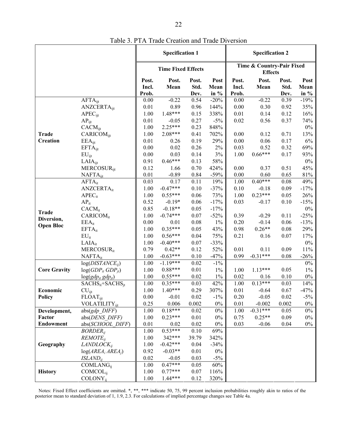|                     |                                  |                | <b>Specification 1</b>    |               |                  | <b>Specification 2</b>                      |               |               |                  |
|---------------------|----------------------------------|----------------|---------------------------|---------------|------------------|---------------------------------------------|---------------|---------------|------------------|
|                     |                                  |                | <b>Time Fixed Effects</b> |               |                  | Time & Country-Pair Fixed<br><b>Effects</b> |               |               |                  |
|                     |                                  | Post.<br>Incl. | Post.<br>Mean             | Post.<br>Std. | Post<br>Mean     | Post.<br>Incl.                              | Post.<br>Mean | Post.<br>Std. | Post<br>Mean     |
|                     | $AFTA_{ijt}$                     | Prob.<br>0.00  | $-0.22$                   | Dev.<br>0.54  | in $%$<br>$-20%$ | Prob.<br>0.00                               | $-0.22$       | Dev.<br>0.39  | in $%$<br>$-19%$ |
|                     | <b>ANZCERTA</b> <sub>iit</sub>   | 0.01           | 0.89                      | 0.96          | 144%             | $0.00\,$                                    | 0.30          | 0.92          | 35%              |
|                     | APEC <sub>ijt</sub>              | 1.00           | 1.48***                   | 0.15          | 338%             | 0.01                                        | 0.14          | 0.12          | 16%              |
|                     | $AP_{ijt}$                       | 0.01           | $-0.05$                   | 0.27          | $-5\%$           | 0.02                                        | 0.56          | 0.37          | 74%              |
|                     | $CACM_{\text{ijt}}$              | 1.00           | $2.25***$                 | 0.23          | 848%             |                                             |               |               | $0\%$            |
| <b>Trade</b>        | <b>CARICOM</b> <sub>iit</sub>    | 1.00           | $2.08***$                 | 0.41          | 702%             | 0.00                                        | 0.12          | 0.71          | 13%              |
| <b>Creation</b>     | $EEA_{ijt}$                      | 0.01           | 0.26                      | 0.19          | 29%              | 0.00                                        | 0.06          | 0.17          | $6\%$            |
|                     | $EFTA_{ijt}$                     | 0.00           | 0.02                      | 0.26          | 2%               | 0.03                                        | 0.52          | 0.32          | 69%              |
|                     | $EU_{ijt}$                       | 0.00           | 0.03                      | 0.14          | 3%               | 1.00                                        | $0.66***$     | 0.17          | 93%              |
|                     | $LAIA_{ijt}$                     | 0.91           | $0.46***$                 | 0.13          | 58%              |                                             |               |               | $0\%$            |
|                     | <b>MERCOSUR</b> iit              | 0.12           | 1.66                      | 0.70          | 424%             | 0.00                                        | 0.37          | 0.51          | 45%              |
|                     | $NAFTA_{i}$                      | 0.01           | $-0.89$                   | 0.84          | $-59%$           | 0.00                                        | 0.60          | 0.65          | 81%              |
|                     | $AFTA_{it}$                      | 0.03           | 0.17                      | 0.11          | 19%              | 1.00                                        | $0.40***$     | 0.08          | 49%              |
|                     | <b>ANZCERTA</b> <sub>it</sub>    | 1.00           | $-0.47***$                | 0.10          | $-37%$           | 0.10                                        | $-0.18$       | 0.09          | $-17%$           |
|                     | $APEC_{it}$                      | 1.00           | $0.55***$                 | 0.06          | 73%              | 1.00                                        | $0.23***$     | 0.05          | 26%              |
|                     | $AP_{it}$                        | 0.52           | $-0.19*$                  | 0.06          | $-17%$           | 0.03                                        | $-0.17$       | 0.10          | $-15%$           |
|                     | $CACM_{it}$                      | 0.85           | $-0.18**$                 | 0.05          | $-17%$           |                                             |               |               | $0\%$            |
| <b>Trade</b>        | <b>CARICOM</b> <sub>it</sub>     | 1.00           | $-0.74***$                | 0.07          | $-52%$           | 0.39                                        | $-0.29$       | 0.11          | $-25%$           |
| Diversion,          | $EEA_{it}$                       | 0.00           | 0.01                      | 0.08          | $1\%$            | 0.20                                        | $-0.14$       | 0.06          | $-13%$           |
| <b>Open Bloc</b>    | $EFTA_{it}$                      | 1.00           | $0.35***$                 | 0.05          | 43%              | 0.98                                        | $0.26**$      | $0.08\,$      | 29%              |
|                     | $EU_{it}$                        | 1.00           | $0.56***$                 | 0.04          | 75%              | 0.21                                        | 0.16          | 0.07          | 17%              |
|                     | $LAIA_{it}$                      | 1.00           | $-0.40***$                | 0.07          | $-33%$           |                                             |               |               | $0\%$            |
|                     | MERCOSUR <sub>it</sub>           | 0.79           | $0.42**$                  | 0.12          | 52%              | 0.01                                        | 0.11          | 0.09          | 11%              |
|                     | $NAFTA_{it}$                     | 1.00           | $-0.63***$                | 0.10          | $-47%$           | 0.99                                        | $-0.31***$    | 0.08          | $-26%$           |
|                     | $log(DISTANCE_{ii})$             | 1.00           | $-1.19***$                | 0.02          | $-1\%$           |                                             |               |               | 0%               |
| <b>Core Gravity</b> | $log(GDP_{it} GDP_{it})$         | 1.00           | $0.88***$                 | 0.01          | $1\%$            | 1.00                                        | $1.13***$     | 0.05          | $1\%$            |
|                     | $log(gdp_{it}gdp_{it})$          | 1.00           | $0.55***$                 | 0.02          | $1\%$            | 0.02                                        | 0.16          | 0.10          | $0\%$            |
|                     | $SACHS_{it}+SACHS_{it}$          | 1.00           | $0.35***$                 | 0.03          | 42%              | 1.00                                        | $0.13***$     | 0.03          | 14%              |
| Economic            | $CU_{ijt}$                       | 1.00           | $1.40***$                 | 0.29          | 307%             | 0.01                                        | $-0.64$       | 0.67          | $-47%$           |
| <b>Policy</b>       | <b>FLOAT</b> <sub>ijt</sub>      | 0.00           | $-0.01$                   | 0.02          | $-1\%$           | 0.20                                        | $-0.05$       | 0.02          | $-5\%$           |
|                     | <b>VOLATILITY</b> <sub>iit</sub> | 0.25           | 0.006                     | 0.002         | $0\%$            | 0.01                                        | $-0.002$      | 0.002         | $0\%$            |
| Development,        | $abs(gdp$ <i>DIFF</i> )          | 1.00           | $0.18***$                 | 0.02          | $0\%$            | 1.00                                        | $-0.31***$    | 0.05          | 0%               |
| Factor              | abs(DENS DIFF)                   | 1.00           | $0.23***$                 | 0.01          | $0\%$            | 0.75                                        | $0.25**$      | 0.09          | $0\%$            |
| Endowment           | abs(SCHOOL DIFF)                 | 0.01           | 0.02                      | 0.02          | $0\%$            | 0.03                                        | $-0.06$       | 0.04          | $0\%$            |
|                     | $BORDER_{ii}$                    | 1.00           | $0.53***$                 | 0.10          | 69%              |                                             |               |               |                  |
|                     | $REMOTE_{ii}$                    | 1.00           | 342***                    | 39.79         | 342%             |                                             |               |               |                  |
| Geography           | $LANDLOCK_{ii}$                  | 1.00           | $-0.42***$                | 0.04          | $-34%$           |                                             |               |               |                  |
|                     | $log(AREA_i AREA_i)$             | 0.92           | $-0.03**$                 | 0.01          | $0\%$            |                                             |               |               |                  |
|                     | $ISLAND_{ii}$                    | 0.02           | $-0.05$                   | 0.03          | $-5\%$           |                                             |               |               |                  |
|                     | <b>COMLANG</b> <sub>ii</sub>     | 1.00           | $0.47***$                 | 0.05          | $60\%$           |                                             |               |               |                  |
| <b>History</b>      | <b>COMCOL</b> <sub>ii</sub>      | 1.00           | $0.77***$                 | 0.07          | 116%             |                                             |               |               |                  |
|                     | COLONY <sub>ii</sub>             | 1.00           | $1.44***$                 | 0.12          | 320%             |                                             |               |               |                  |

Table 3. PTA Trade Creation and Trade Diversion

Notes: Fixed Effect coefficients are omitted. \*, \*\*, \*\*\* indicate 50, 75, 99 percent inclusion probabilities roughly akin to ratios of the posterior mean to standard deviation of 1, 1.9, 2.3. For calculations of implied percentage changes see Table 4a.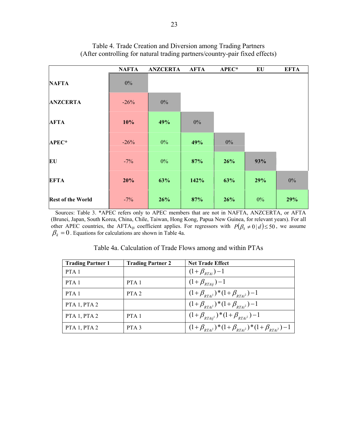|                          | <b>NAFTA</b> | <b>ANZCERTA</b> | <b>AFTA</b> | APEC* | EU    | <b>EFTA</b> |
|--------------------------|--------------|-----------------|-------------|-------|-------|-------------|
| <b>NAFTA</b>             | $0\%$        |                 |             |       |       |             |
| <b>ANZCERTA</b>          | $-26%$       | $0\%$           |             |       |       |             |
| <b>AFTA</b>              | 10%          | 49%             | $0\%$       |       |       |             |
| APEC*                    | $-26%$       | $0\%$           | 49%         | $0\%$ |       |             |
| EU                       | $-7\%$       | $0\%$           | 87%         | 26%   | 93%   |             |
| <b>EFTA</b>              | 20%          | 63%             | 142%        | 63%   | 29%   | $0\%$       |
| <b>Rest of the World</b> | $-7%$        | 26%             | 87%         | 26%   | $0\%$ | 29%         |

## Table 4. Trade Creation and Diversion among Trading Partners (After controlling for natural trading partners/country-pair fixed effects)

 Sources: Table 3. \*APEC refers only to APEC members that are not in NAFTA, ANZCERTA, or AFTA (Brunei, Japan, South Korea, China, Chile, Taiwan, Hong Kong, Papua New Guinea, for relevant years). For all other APEC countries, the AFTA<sub>ijt</sub> coefficient applies. For regressors with  $P(\beta_k \neq 0 \mid d) \leq 50$ , we assume  $\beta_k = 0$ . Equations for calculations are shown in Table 4a.

| <b>Trading Partner 1</b> | <b>Trading Partner 2</b> | <b>Net Trade Effect</b>                                                     |
|--------------------------|--------------------------|-----------------------------------------------------------------------------|
| PTA <sub>1</sub>         |                          | $(1+\beta_{RT4i})-1$                                                        |
| PTA <sub>1</sub>         | PTA <sub>1</sub>         | $(1 + \beta_{RTAii}) - 1$                                                   |
| PTA <sub>1</sub>         | PTA <sub>2</sub>         | $(1+\beta_{RTA_i^1})^*(1+\beta_{RTA_i^2})-1$                                |
| PTA 1, PTA 2             |                          | $(1+\beta_{RTdi})^*(1+\beta_{RTdi^2})-1$                                    |
| PTA 1, PTA 2             | PTA <sub>1</sub>         | $(1+\beta_{RTAii'}^{\phantom{2}})$ * $(1+\beta_{RTAii'}^{\phantom{2}})$ – 1 |
| PTA 1, PTA 2             | PTA <sub>3</sub>         | $(1+\beta_{RTA_i^1})^*(1+\beta_{RTA_i^2})^*(1+\beta_{RTA_i^3})-1$           |

Table 4a. Calculation of Trade Flows among and within PTAs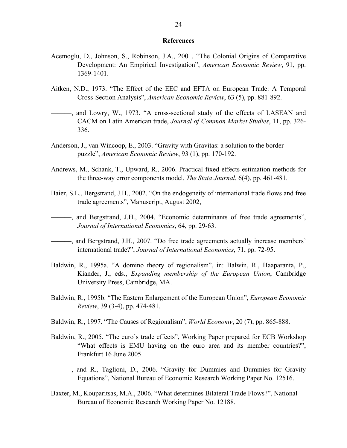#### **References**

- Acemoglu, D., Johnson, S., Robinson, J.A., 2001. "The Colonial Origins of Comparative Development: An Empirical Investigation", *American Economic Review*, 91, pp. 1369-1401.
- Aitken, N.D., 1973. "The Effect of the EEC and EFTA on European Trade: A Temporal Cross-Section Analysis", *American Economic Review*, 63 (5), pp. 881-892.
- ———, and Lowry, W., 1973. "A cross-sectional study of the effects of LASEAN and CACM on Latin American trade, *Journal of Common Market Studies*, 11, pp. 326- 336.
- Anderson, J., van Wincoop, E., 2003. "Gravity with Gravitas: a solution to the border puzzle", *American Economic Review*, 93 (1), pp. 170-192.
- Andrews, M., Schank, T., Upward, R., 2006. Practical fixed effects estimation methods for the three-way error components model, *The Stata Journal*, 6(4), pp. 461-481.
- Baier, S.L., Bergstrand, J.H., 2002. "On the endogeneity of international trade flows and free trade agreements", Manuscript, August 2002,
- ———, and Bergstrand, J.H., 2004. "Economic determinants of free trade agreements", *Journal of International Economics*, 64, pp. 29-63.
- ———, and Bergstrand, J.H., 2007. "Do free trade agreements actually increase members' international trade?", *Journal of International Economics*, 71, pp. 72-95.
- Baldwin, R., 1995a. "A domino theory of regionalism", in: Balwin, R., Haaparanta, P., Kiander, J., eds., *Expanding membership of the European Union*, Cambridge University Press, Cambridge, MA.
- Baldwin, R., 1995b. "The Eastern Enlargement of the European Union", *European Economic Review*, 39 (3-4), pp. 474-481.
- Baldwin, R., 1997. "The Causes of Regionalism", *World Economy*, 20 (7), pp. 865-888.
- Baldwin, R., 2005. "The euro's trade effects", Working Paper prepared for ECB Workshop "What effects is EMU having on the euro area and its member countries?", Frankfurt 16 June 2005.
- ———, and R., Taglioni, D., 2006. "Gravity for Dummies and Dummies for Gravity Equations", National Bureau of Economic Research Working Paper No. 12516.
- Baxter, M., Kouparitsas, M.A., 2006. "What determines Bilateral Trade Flows?", National Bureau of Economic Research Working Paper No. 12188.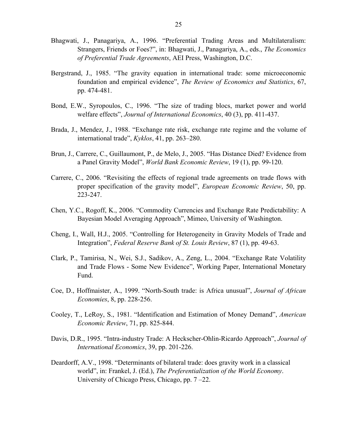- Bhagwati, J., Panagariya, A., 1996. "Preferential Trading Areas and Multilateralism: Strangers, Friends or Foes?", in: Bhagwati, J., Panagariya, A., eds., *The Economics of Preferential Trade Agreements*, AEI Press, Washington, D.C.
- Bergstrand, J., 1985. "The gravity equation in international trade: some microeconomic foundation and empirical evidence", *The Review of Economics and Statistics*, 67, pp. 474-481.
- Bond, E.W., Syropoulos, C., 1996. "The size of trading blocs, market power and world welfare effects", *Journal of International Economics*, 40 (3), pp. 411-437.
- Brada, J., Mendez, J., 1988. "Exchange rate risk, exchange rate regime and the volume of international trade", *Kyklos*, 41, pp. 263–280.
- Brun, J., Carrere, C., Guillaumont, P., de Melo, J., 2005. "Has Distance Died? Evidence from a Panel Gravity Model", *World Bank Economic Review*, 19 (1), pp. 99-120.
- Carrere, C., 2006. "Revisiting the effects of regional trade agreements on trade flows with proper specification of the gravity model", *European Economic Review*, 50, pp. 223-247.
- Chen, Y.C., Rogoff, K., 2006. "Commodity Currencies and Exchange Rate Predictability: A Bayesian Model Averaging Approach", Mimeo, University of Washington.
- Cheng, I., Wall, H.J., 2005. "Controlling for Heterogeneity in Gravity Models of Trade and Integration", *Federal Reserve Bank of St. Louis Review*, 87 (1), pp. 49-63.
- Clark, P., Tamirisa, N., Wei, S.J., Sadikov, A., Zeng, L., 2004. "Exchange Rate Volatility and Trade Flows - Some New Evidence", Working Paper, International Monetary Fund.
- Coe, D., Hoffmaister, A., 1999. "North-South trade: is Africa unusual", *Journal of African Economies*, 8, pp. 228-256.
- Cooley, T., LeRoy, S., 1981. "Identification and Estimation of Money Demand", *American Economic Review*, 71, pp. 825-844.
- Davis, D.R., 1995. "Intra-industry Trade: A Heckscher-Ohlin-Ricardo Approach", *Journal of International Economics*, 39, pp. 201-226.
- Deardorff, A.V., 1998. "Determinants of bilateral trade: does gravity work in a classical world", in: Frankel, J. (Ed.), *The Preferentialization of the World Economy*. University of Chicago Press, Chicago, pp. 7 –22.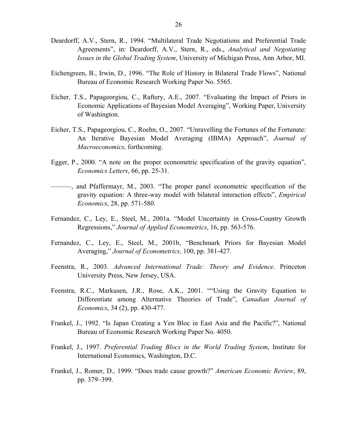- Deardorff, A.V., Stern, R., 1994. "Multilateral Trade Negotiations and Preferential Trade Agreements", in: Deardorff, A.V., Stern, R., eds., *Analytical and Negotiating Issues in the Global Trading System*, University of Michigan Press, Ann Arbor, MI.
- Eichengreen, B., Irwin, D., 1996. "The Role of History in Bilateral Trade Flows", National Bureau of Economic Research Working Paper No. 5565.
- Eicher, T.S., Papageorgiou, C., Raftery, A.E., 2007. "Evaluating the Impact of Priors in Economic Applications of Bayesian Model Averaging", Working Paper, University of Washington.
- Eicher, T.S., Papageorgiou, C., Roehn, O., 2007. "Unravelling the Fortunes of the Fortunate: An Iterative Bayesian Model Averaging (IBMA) Approach", *Journal of Macroeconomics,* forthcoming.
- Egger, P., 2000. "A note on the proper econometric specification of the gravity equation", *Economics Letters*, 66, pp. 25-31.
- ——, and Pfaffermayr, M., 2003. "The proper panel econometric specification of the gravity equation: A three-way model with bilateral interaction effects", *Empirical Economics*, 28, pp. 571-580.
- Fernandez, C., Ley, E., Steel, M., 2001a. "Model Uncertainty in Cross-Country Growth Regressions," *Journal of Applied Econometrics*, 16, pp. 563-576.
- Fernandez, C., Ley, E., Steel, M., 2001b, "Benchmark Priors for Bayesian Model Averaging," *Journal of Econometrics,* 100, pp. 381-427.
- Feenstra, R., 2003. *Advanced International Trade: Theory and Evidence*. Princeton University Press, New Jersey, USA.
- Feenstra, R.C., Markusen, J.R., Rose, A.K., 2001. ""Using the Gravity Equation to Differentiate among Alternative Theories of Trade", *Canadian Journal of Economics*, 34 (2), pp. 430-477.
- Frankel, J., 1992. "Is Japan Creating a Yen Bloc in East Asia and the Pacific?", National Bureau of Economic Research Working Paper No. 4050.
- Frankel, J., 1997. *Preferential Trading Blocs in the World Trading System*, Institute for International Economics, Washington, D.C.
- Frankel, J., Romer, D., 1999. "Does trade cause growth?" *American Economic Review*, 89, pp. 379–399.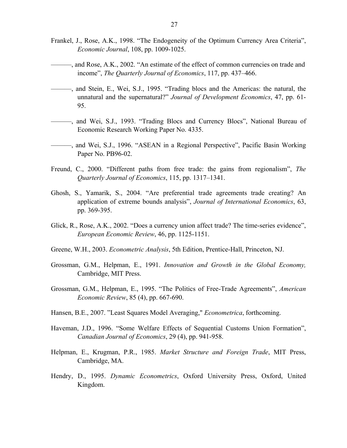- Frankel, J., Rose, A.K., 1998. "The Endogeneity of the Optimum Currency Area Criteria", *Economic Journal*, 108, pp. 1009-1025.
- ———, and Rose, A.K., 2002. "An estimate of the effect of common currencies on trade and income", *The Quarterly Journal of Economics*, 117, pp. 437–466.
- ———, and Stein, E., Wei, S.J., 1995. "Trading blocs and the Americas: the natural, the unnatural and the supernatural?" *Journal of Development Economics*, 47, pp. 61- 95.
- ———, and Wei, S.J., 1993. "Trading Blocs and Currency Blocs", National Bureau of Economic Research Working Paper No. 4335.
- ———, and Wei, S.J., 1996. "ASEAN in a Regional Perspective", Pacific Basin Working Paper No. PB96-02.
- Freund, C., 2000. "Different paths from free trade: the gains from regionalism", *The Quarterly Journal of Economics*, 115, pp. 1317–1341.
- Ghosh, S., Yamarik, S., 2004. "Are preferential trade agreements trade creating? An application of extreme bounds analysis", *Journal of International Economics*, 63, pp. 369-395.
- Glick, R., Rose, A.K., 2002. "Does a currency union affect trade? The time-series evidence", *European Economic Review*, 46, pp. 1125-1151.
- Greene, W.H., 2003. *Econometric Analysis*, 5th Edition, Prentice-Hall, Princeton, NJ.
- Grossman, G.M., Helpman, E., 1991. *Innovation and Growth in the Global Economy,*  Cambridge, MIT Press.
- Grossman, G.M., Helpman, E., 1995. "The Politics of Free-Trade Agreements", *American Economic Review*, 85 (4), pp. 667-690.
- Hansen, B.E., 2007. "Least Squares Model Averaging," *Econometrica*, forthcoming.
- Haveman, J.D., 1996. "Some Welfare Effects of Sequential Customs Union Formation", *Canadian Journal of Economics*, 29 (4), pp. 941-958.
- Helpman, E., Krugman, P.R., 1985. *Market Structure and Foreign Trade*, MIT Press, Cambridge, MA.
- Hendry, D., 1995. *Dynamic Econometrics*, Oxford University Press, Oxford, United Kingdom.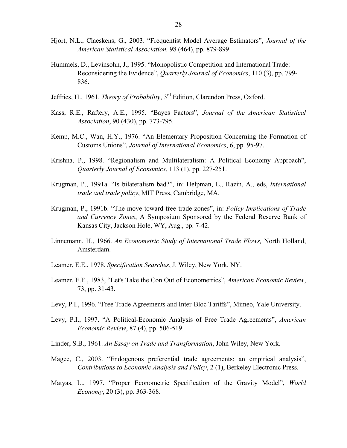- Hjort, N.L., Claeskens, G., 2003. "Frequentist Model Average Estimators", *Journal of the American Statistical Association,* 98 (464), pp. 879-899.
- Hummels, D., Levinsohn, J., 1995. "Monopolistic Competition and International Trade: Reconsidering the Evidence", *Quarterly Journal of Economics*, 110 (3), pp. 799- 836.
- Jeffries, H., 1961. *Theory of Probability*, 3rd Edition, Clarendon Press, Oxford.
- Kass, R.E., Raftery, A.E., 1995. "Bayes Factors", *Journal of the American Statistical Association*, 90 (430), pp. 773-795.
- Kemp, M.C., Wan, H.Y., 1976. "An Elementary Proposition Concerning the Formation of Customs Unions", *Journal of International Economics*, 6, pp. 95-97.
- Krishna, P., 1998. "Regionalism and Multilateralism: A Political Economy Approach", *Quarterly Journal of Economics*, 113 (1), pp. 227-251.
- Krugman, P., 1991a. "Is bilateralism bad?", in: Helpman, E., Razin, A., eds, *International trade and trade policy*, MIT Press, Cambridge, MA.
- Krugman, P., 1991b. "The move toward free trade zones", in: *Policy Implications of Trade and Currency Zones*, A Symposium Sponsored by the Federal Reserve Bank of Kansas City, Jackson Hole, WY, Aug., pp. 7-42.
- Linnemann, H., 1966. *An Econometric Study of International Trade Flows,* North Holland, Amsterdam.
- Leamer, E.E., 1978. *Specification Searches*, J. Wiley, New York, NY.
- Leamer, E.E., 1983, "Let's Take the Con Out of Econometrics", *American Economic Review*, 73, pp. 31-43.
- Levy, P.I., 1996. "Free Trade Agreements and Inter-Bloc Tariffs", Mimeo, Yale University.
- Levy, P.I., 1997. "A Political-Economic Analysis of Free Trade Agreements", *American Economic Review*, 87 (4), pp. 506-519.
- Linder, S.B., 1961. *An Essay on Trade and Transformation*, John Wiley, New York.
- Magee, C., 2003. "Endogenous preferential trade agreements: an empirical analysis", *Contributions to Economic Analysis and Policy*, 2 (1), Berkeley Electronic Press.
- Matyas, L., 1997. "Proper Econometric Specification of the Gravity Model", *World Economy*, 20 (3), pp. 363-368.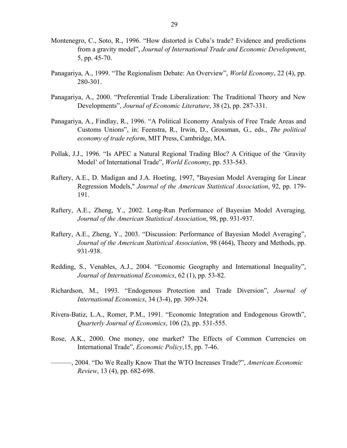- Montenegro, C., Soto, R., 1996. "How distorted is Cuba's trade? Evidence and predictions from a gravity model", *Journal of International Trade and Economic Development*, 5, pp. 45-70.
- Panagariya, A., 1999. "The Regionalism Debate: An Overview", *World Economy*, 22 (4), pp. 280-301.
- Panagariya, A., 2000. "Preferential Trade Liberalization: The Traditional Theory and New Developments", *Journal of Economic Literature*, 38 (2), pp. 287-331.
- Panagariya, A., Findlay, R., 1996. "A Political Economy Analysis of Free Trade Areas and Customs Unions", in: Feenstra, R., Irwin, D., Grossman, G., eds., *The political economy of trade reform*, MIT Press, Cambridge, MA.
- Pollak, J.J., 1996. "Is APEC a Natural Regional Trading Bloc? A Critique of the 'Gravity Model' of International Trade", *World Economy*, pp. 533-543.
- Raftery, A.E., D. Madigan and J.A. Hoeting, 1997, "Bayesian Model Averaging for Linear Regression Models," *Journal of the American Statistical Association*, 92, pp. 179- 191.
- Raftery, A.E., Zheng, Y., 2002. Long-Run Performance of Bayesian Model Averaging*, Journal of the American Statistical Association*, 98, pp. 931-937.
- Raftery, A.E., Zheng, Y., 2003. "Discussion: Performance of Bayesian Model Averaging", *Journal of the American Statistical Association*, 98 (464), Theory and Methods, pp. 931-938.
- Redding, S., Venables, A.J., 2004. "Economic Geography and International Inequality", *Journal of International Economics*, 62 (1), pp. 53-82.
- Richardson, M., 1993. "Endogenous Protection and Trade Diversion", *Journal of International Economics*, 34 (3-4), pp. 309-324.
- Rivera-Batiz, L.A., Romer, P.M., 1991. "Economic Integration and Endogenous Growth", *Quarterly Journal of Economics*, 106 (2), pp. 531-555.
- Rose, A.K., 2000. One money, one market? The Effects of Common Currencies on International Trade", *Economic Policy*,15, pp. 7-46.
- ———, 2004. "Do We Really Know That the WTO Increases Trade?", *American Economic Review*, 13 (4), pp. 682-698.